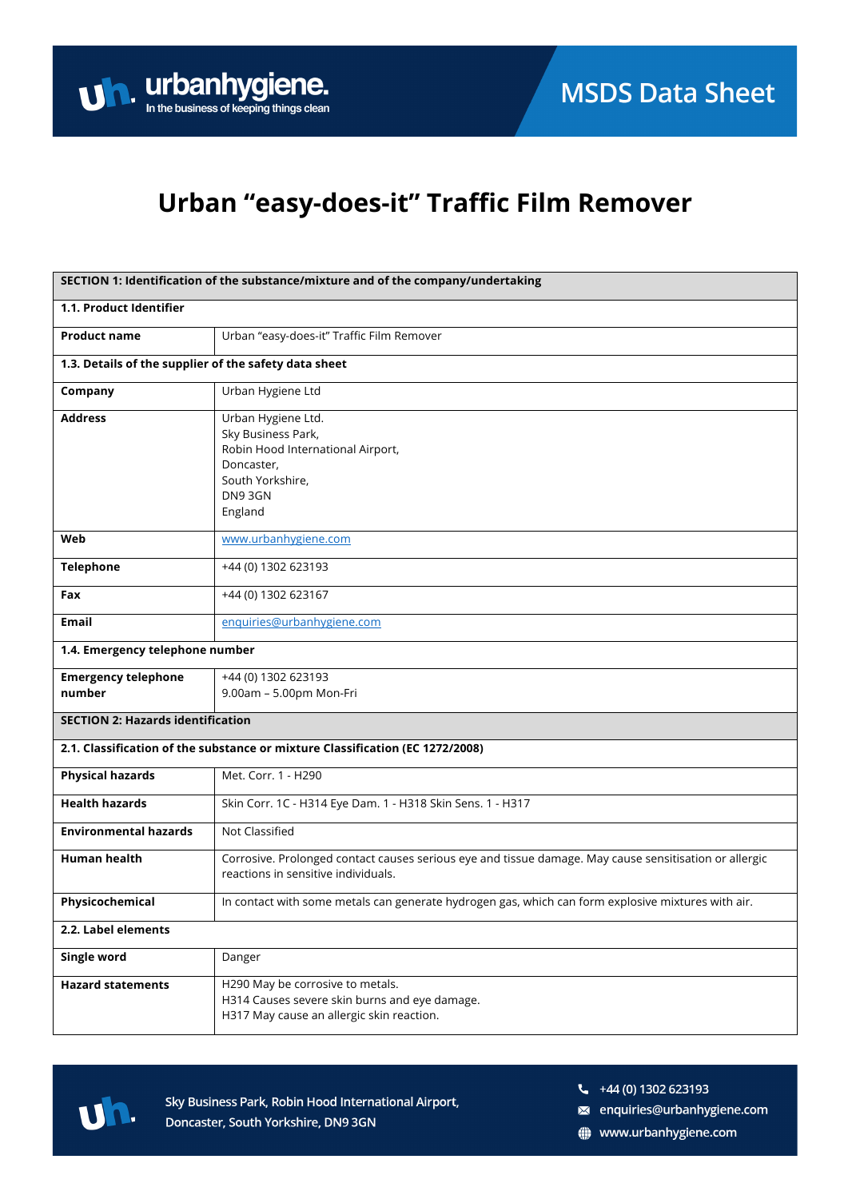### Urban "easy-does-it" Traffic Film Remover

| SECTION 1: Identification of the substance/mixture and of the company/undertaking |                                                                                                                                               |  |
|-----------------------------------------------------------------------------------|-----------------------------------------------------------------------------------------------------------------------------------------------|--|
| 1.1. Product Identifier                                                           |                                                                                                                                               |  |
| <b>Product name</b>                                                               | Urban "easy-does-it" Traffic Film Remover                                                                                                     |  |
| 1.3. Details of the supplier of the safety data sheet                             |                                                                                                                                               |  |
| Company                                                                           | Urban Hygiene Ltd                                                                                                                             |  |
| <b>Address</b>                                                                    | Urban Hygiene Ltd.<br>Sky Business Park,<br>Robin Hood International Airport,<br>Doncaster,<br>South Yorkshire,<br>DN93GN<br>England          |  |
| Web                                                                               | www.urbanhygiene.com                                                                                                                          |  |
| <b>Telephone</b>                                                                  | +44 (0) 1302 623193                                                                                                                           |  |
| Fax                                                                               | +44 (0) 1302 623167                                                                                                                           |  |
| <b>Email</b>                                                                      | enquiries@urbanhygiene.com                                                                                                                    |  |
| 1.4. Emergency telephone number                                                   |                                                                                                                                               |  |
| <b>Emergency telephone</b><br>number                                              | +44 (0) 1302 623193<br>9.00am - 5.00pm Mon-Fri                                                                                                |  |
| <b>SECTION 2: Hazards identification</b>                                          |                                                                                                                                               |  |
| 2.1. Classification of the substance or mixture Classification (EC 1272/2008)     |                                                                                                                                               |  |
| <b>Physical hazards</b>                                                           | Met. Corr. 1 - H290                                                                                                                           |  |
| <b>Health hazards</b>                                                             | Skin Corr. 1C - H314 Eye Dam. 1 - H318 Skin Sens. 1 - H317                                                                                    |  |
| <b>Environmental hazards</b>                                                      | Not Classified                                                                                                                                |  |
| Human health                                                                      | Corrosive. Prolonged contact causes serious eye and tissue damage. May cause sensitisation or allergic<br>reactions in sensitive individuals. |  |
| Physicochemical                                                                   | In contact with some metals can generate hydrogen gas, which can form explosive mixtures with air.                                            |  |
| 2.2. Label elements                                                               |                                                                                                                                               |  |
| Single word                                                                       | Danger                                                                                                                                        |  |
| <b>Hazard statements</b>                                                          | H290 May be corrosive to metals.<br>H314 Causes severe skin burns and eye damage.<br>H317 May cause an allergic skin reaction.                |  |



Sky Business Park, Robin Hood International Airport, Doncaster, South Yorkshire, DN9 3GN

 $\frac{1}{2}$  +44 (0) 1302 623193

a enquiries@urbanhygiene.com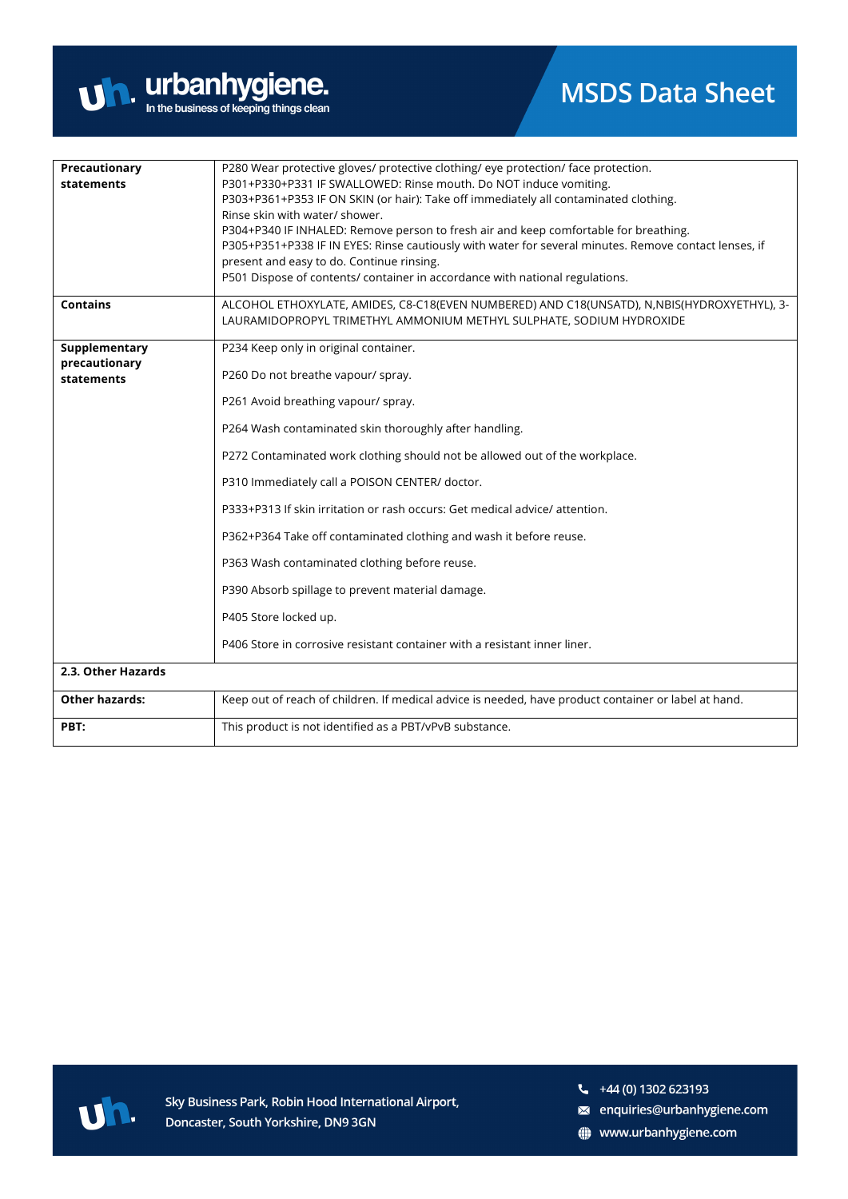

| Precautionary<br>statements                  | P280 Wear protective gloves/ protective clothing/ eye protection/ face protection.<br>P301+P330+P331 IF SWALLOWED: Rinse mouth. Do NOT induce vomiting.<br>P303+P361+P353 IF ON SKIN (or hair): Take off immediately all contaminated clothing.<br>Rinse skin with water/ shower.<br>P304+P340 IF INHALED: Remove person to fresh air and keep comfortable for breathing.<br>P305+P351+P338 IF IN EYES: Rinse cautiously with water for several minutes. Remove contact lenses, if<br>present and easy to do. Continue rinsing.<br>P501 Dispose of contents/ container in accordance with national regulations.                                                              |
|----------------------------------------------|------------------------------------------------------------------------------------------------------------------------------------------------------------------------------------------------------------------------------------------------------------------------------------------------------------------------------------------------------------------------------------------------------------------------------------------------------------------------------------------------------------------------------------------------------------------------------------------------------------------------------------------------------------------------------|
| <b>Contains</b>                              | ALCOHOL ETHOXYLATE, AMIDES, C8-C18(EVEN NUMBERED) AND C18(UNSATD), N, NBIS(HYDROXYETHYL), 3-<br>LAURAMIDOPROPYL TRIMETHYL AMMONIUM METHYL SULPHATE, SODIUM HYDROXIDE                                                                                                                                                                                                                                                                                                                                                                                                                                                                                                         |
| Supplementary<br>precautionary<br>statements | P234 Keep only in original container.<br>P260 Do not breathe vapour/ spray.<br>P261 Avoid breathing vapour/ spray.<br>P264 Wash contaminated skin thoroughly after handling.<br>P272 Contaminated work clothing should not be allowed out of the workplace.<br>P310 Immediately call a POISON CENTER/ doctor.<br>P333+P313 If skin irritation or rash occurs: Get medical advice/attention.<br>P362+P364 Take off contaminated clothing and wash it before reuse.<br>P363 Wash contaminated clothing before reuse.<br>P390 Absorb spillage to prevent material damage.<br>P405 Store locked up.<br>P406 Store in corrosive resistant container with a resistant inner liner. |
| 2.3. Other Hazards                           |                                                                                                                                                                                                                                                                                                                                                                                                                                                                                                                                                                                                                                                                              |
| <b>Other hazards:</b>                        | Keep out of reach of children. If medical advice is needed, have product container or label at hand.                                                                                                                                                                                                                                                                                                                                                                                                                                                                                                                                                                         |
| PBT:                                         | This product is not identified as a PBT/vPvB substance.                                                                                                                                                                                                                                                                                                                                                                                                                                                                                                                                                                                                                      |



Sky Business Park, Robin Hood International Airport, Doncaster, South Yorkshire, DN9 3GN

- a enquiries@urbanhygiene.com
- www.urbanhygiene.com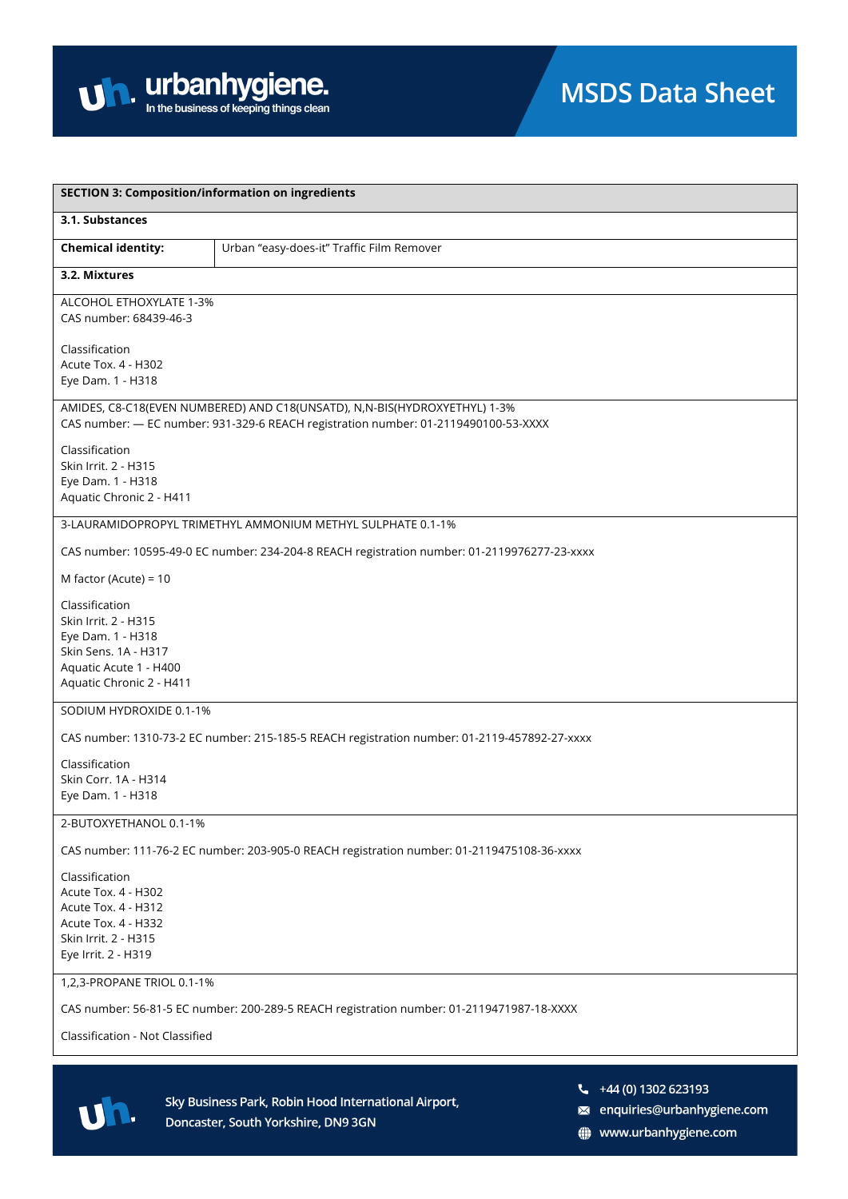

| <b>SECTION 3: Composition/information on ingredients</b>                                                                                  |                                                                                                                                                                  |  |
|-------------------------------------------------------------------------------------------------------------------------------------------|------------------------------------------------------------------------------------------------------------------------------------------------------------------|--|
| 3.1. Substances                                                                                                                           |                                                                                                                                                                  |  |
| <b>Chemical identity:</b>                                                                                                                 | Urban "easy-does-it" Traffic Film Remover                                                                                                                        |  |
| 3.2. Mixtures                                                                                                                             |                                                                                                                                                                  |  |
| ALCOHOL ETHOXYLATE 1-3%<br>CAS number: 68439-46-3                                                                                         |                                                                                                                                                                  |  |
| Classification<br>Acute Tox. 4 - H302<br>Eye Dam. 1 - H318                                                                                |                                                                                                                                                                  |  |
|                                                                                                                                           | AMIDES, C8-C18(EVEN NUMBERED) AND C18(UNSATD), N,N-BIS(HYDROXYETHYL) 1-3%<br>CAS number: - EC number: 931-329-6 REACH registration number: 01-2119490100-53-XXXX |  |
| Classification<br>Skin Irrit. 2 - H315<br>Eye Dam. 1 - H318<br>Aquatic Chronic 2 - H411                                                   |                                                                                                                                                                  |  |
|                                                                                                                                           | 3-LAURAMIDOPROPYL TRIMETHYL AMMONIUM METHYL SULPHATE 0.1-1%                                                                                                      |  |
|                                                                                                                                           | CAS number: 10595-49-0 EC number: 234-204-8 REACH registration number: 01-2119976277-23-xxxx                                                                     |  |
| M factor (Acute) = 10                                                                                                                     |                                                                                                                                                                  |  |
| Classification<br>Skin Irrit. 2 - H315<br>Eye Dam. 1 - H318<br>Skin Sens. 1A - H317<br>Aquatic Acute 1 - H400<br>Aquatic Chronic 2 - H411 |                                                                                                                                                                  |  |
| SODIUM HYDROXIDE 0.1-1%                                                                                                                   |                                                                                                                                                                  |  |
|                                                                                                                                           | CAS number: 1310-73-2 EC number: 215-185-5 REACH registration number: 01-2119-457892-27-xxxx                                                                     |  |
| Classification<br>Skin Corr. 1A - H314<br>Eye Dam. 1 - H318                                                                               |                                                                                                                                                                  |  |
| 2-BUTOXYETHANOL 0.1-1%                                                                                                                    |                                                                                                                                                                  |  |
|                                                                                                                                           | CAS number: 111-76-2 EC number: 203-905-0 REACH registration number: 01-2119475108-36-xxxx                                                                       |  |
| Classification<br><b>Acute Tox. 4 - H302</b><br>Acute Tox. 4 - H312<br>Acute Tox. 4 - H332<br>Skin Irrit. 2 - H315<br>Eye Irrit. 2 - H319 |                                                                                                                                                                  |  |
| 1,2,3-PROPANE TRIOL 0.1-1%                                                                                                                |                                                                                                                                                                  |  |
|                                                                                                                                           | CAS number: 56-81-5 EC number: 200-289-5 REACH registration number: 01-2119471987-18-XXXX                                                                        |  |
| Classification - Not Classified                                                                                                           |                                                                                                                                                                  |  |



- $\frac{1}{2}$  +44 (0) 1302 623193
- a enquiries@urbanhygiene.com
- www.urbanhygiene.com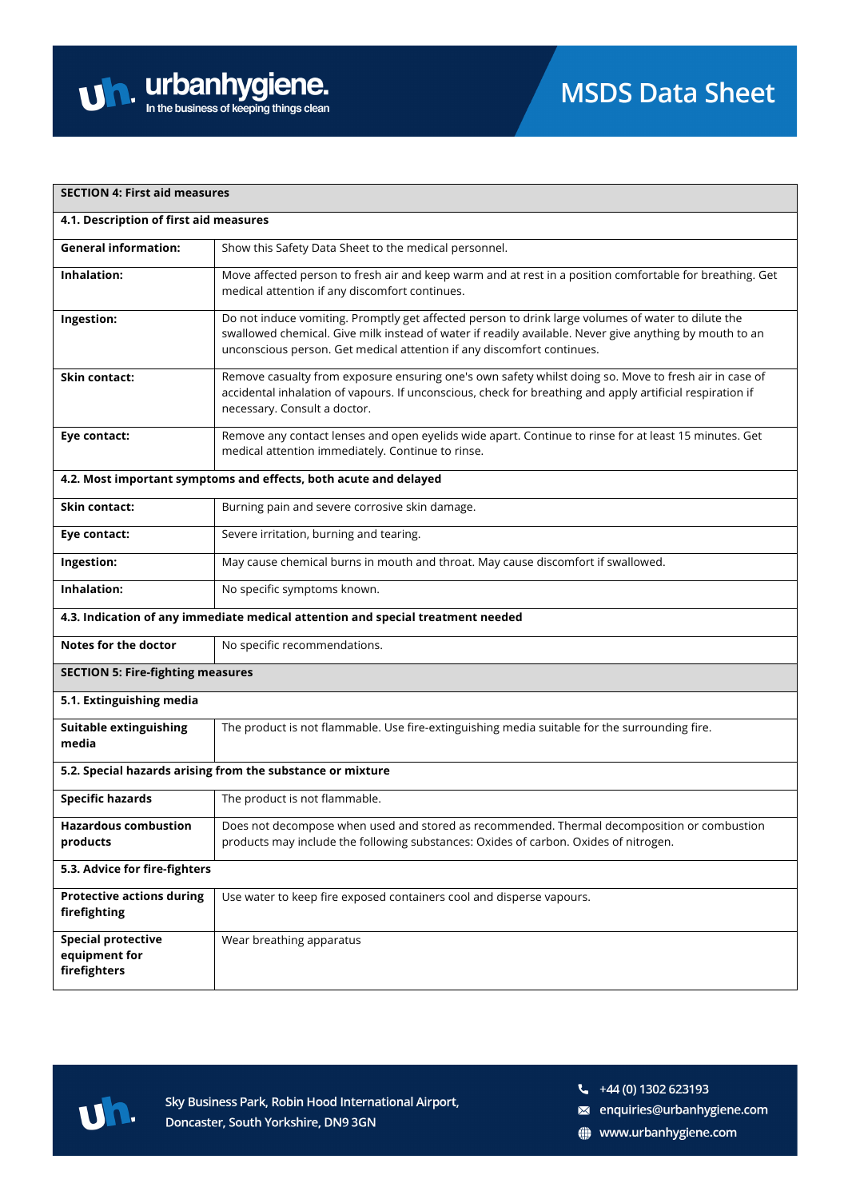| <b>SECTION 4: First aid measures</b>                             |                                                                                                                                                                                                                                                                                         |  |
|------------------------------------------------------------------|-----------------------------------------------------------------------------------------------------------------------------------------------------------------------------------------------------------------------------------------------------------------------------------------|--|
|                                                                  | 4.1. Description of first aid measures                                                                                                                                                                                                                                                  |  |
| <b>General information:</b>                                      | Show this Safety Data Sheet to the medical personnel.                                                                                                                                                                                                                                   |  |
| Inhalation:                                                      | Move affected person to fresh air and keep warm and at rest in a position comfortable for breathing. Get<br>medical attention if any discomfort continues.                                                                                                                              |  |
| Ingestion:                                                       | Do not induce vomiting. Promptly get affected person to drink large volumes of water to dilute the<br>swallowed chemical. Give milk instead of water if readily available. Never give anything by mouth to an<br>unconscious person. Get medical attention if any discomfort continues. |  |
| <b>Skin contact:</b>                                             | Remove casualty from exposure ensuring one's own safety whilst doing so. Move to fresh air in case of<br>accidental inhalation of vapours. If unconscious, check for breathing and apply artificial respiration if<br>necessary. Consult a doctor.                                      |  |
| Eye contact:                                                     | Remove any contact lenses and open eyelids wide apart. Continue to rinse for at least 15 minutes. Get<br>medical attention immediately. Continue to rinse.                                                                                                                              |  |
| 4.2. Most important symptoms and effects, both acute and delayed |                                                                                                                                                                                                                                                                                         |  |
| <b>Skin contact:</b>                                             | Burning pain and severe corrosive skin damage.                                                                                                                                                                                                                                          |  |
| Eye contact:                                                     | Severe irritation, burning and tearing.                                                                                                                                                                                                                                                 |  |
| Ingestion:                                                       | May cause chemical burns in mouth and throat. May cause discomfort if swallowed.                                                                                                                                                                                                        |  |
| <b>Inhalation:</b>                                               | No specific symptoms known.                                                                                                                                                                                                                                                             |  |
|                                                                  | 4.3. Indication of any immediate medical attention and special treatment needed                                                                                                                                                                                                         |  |
| <b>Notes for the doctor</b>                                      | No specific recommendations.                                                                                                                                                                                                                                                            |  |
| <b>SECTION 5: Fire-fighting measures</b>                         |                                                                                                                                                                                                                                                                                         |  |
| 5.1. Extinguishing media                                         |                                                                                                                                                                                                                                                                                         |  |
| <b>Suitable extinguishing</b><br>media                           | The product is not flammable. Use fire-extinguishing media suitable for the surrounding fire.                                                                                                                                                                                           |  |
|                                                                  | 5.2. Special hazards arising from the substance or mixture                                                                                                                                                                                                                              |  |
| <b>Specific hazards</b>                                          | The product is not flammable.                                                                                                                                                                                                                                                           |  |
| <b>Hazardous combustion</b><br>products                          | Does not decompose when used and stored as recommended. Thermal decomposition or combustion<br>products may include the following substances: Oxides of carbon. Oxides of nitrogen.                                                                                                     |  |
| 5.3. Advice for fire-fighters                                    |                                                                                                                                                                                                                                                                                         |  |
| <b>Protective actions during</b><br>firefighting                 | Use water to keep fire exposed containers cool and disperse vapours.                                                                                                                                                                                                                    |  |
| <b>Special protective</b><br>equipment for<br>firefighters       | Wear breathing apparatus                                                                                                                                                                                                                                                                |  |



- a enquiries@urbanhygiene.com
- www.urbanhygiene.com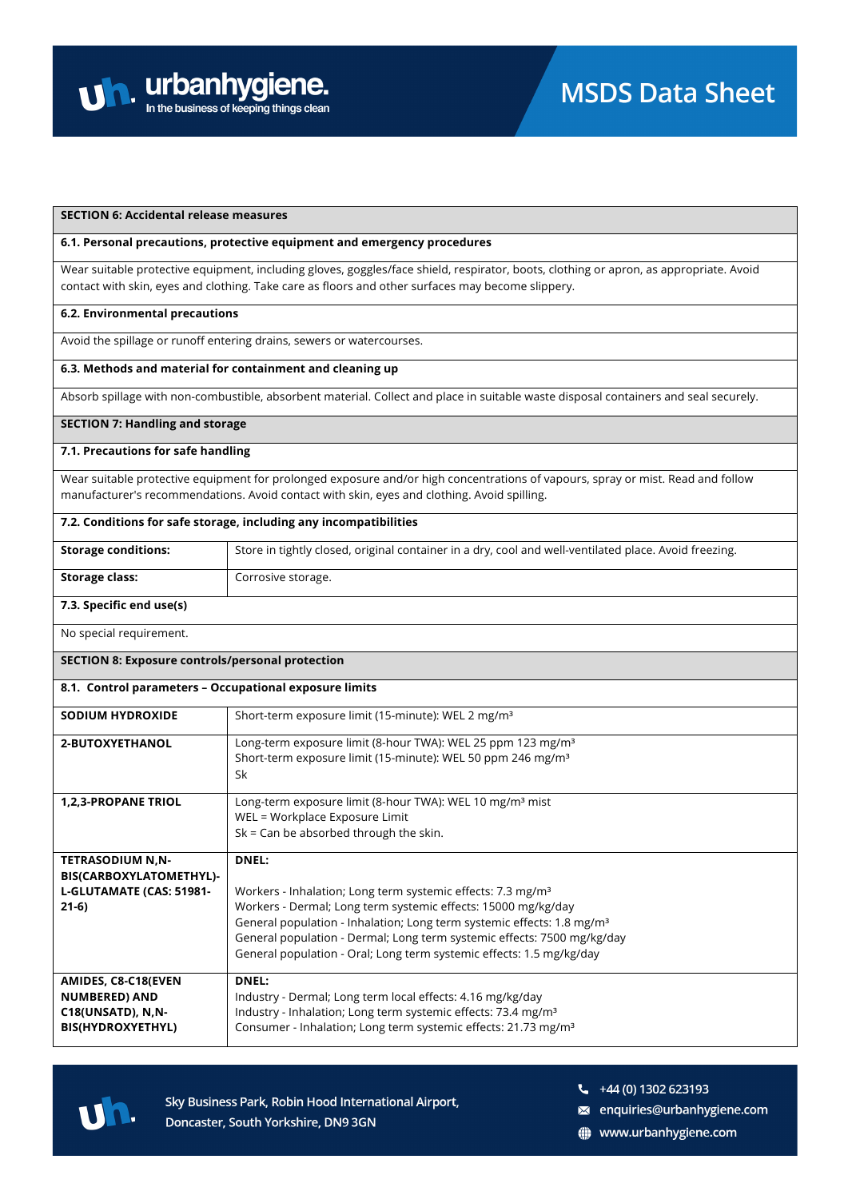

#### **SECTION 6: Accidental release measures**

#### **6.1. Personal precautions, protective equipment and emergency procedures**

Wear suitable protective equipment, including gloves, goggles/face shield, respirator, boots, clothing or apron, as appropriate. Avoid contact with skin, eyes and clothing. Take care as floors and other surfaces may become slippery.

#### **6.2. Environmental precautions**

Avoid the spillage or runoff entering drains, sewers or watercourses.

### **6.3. Methods and material for containment and cleaning up**

Absorb spillage with non-combustible, absorbent material. Collect and place in suitable waste disposal containers and seal securely.

#### **SECTION 7: Handling and storage**

#### **7.1. Precautions for safe handling**

Wear suitable protective equipment for prolonged exposure and/or high concentrations of vapours, spray or mist. Read and follow manufacturer's recommendations. Avoid contact with skin, eyes and clothing. Avoid spilling.

#### **7.2. Conditions for safe storage, including any incompatibilities**

| <b>Storage conditions:</b> | Store in tightly closed, original container in a dry, cool and well-ventilated place. Avoid freezing. |
|----------------------------|-------------------------------------------------------------------------------------------------------|
| Storage class:             | Corrosive storage.                                                                                    |

#### **7.3. Specific end use(s)**

No special requirement.

#### **SECTION 8: Exposure controls/personal protection**

| 8.1. Control parameters - Occupational exposure limits |                                                                                                                                                    |  |
|--------------------------------------------------------|----------------------------------------------------------------------------------------------------------------------------------------------------|--|
| <b>SODIUM HYDROXIDE</b>                                | Short-term exposure limit (15-minute): WEL 2 mg/m <sup>3</sup>                                                                                     |  |
| 2-BUTOXYETHANOL                                        | Long-term exposure limit (8-hour TWA): WEL 25 ppm 123 mg/m <sup>3</sup><br>Short-term exposure limit (15-minute): WEL 50 ppm 246 mg/m <sup>3</sup> |  |
|                                                        | Sk                                                                                                                                                 |  |
| <b>1,2,3-PROPANE TRIOL</b>                             | Long-term exposure limit (8-hour TWA): WEL 10 mg/m <sup>3</sup> mist                                                                               |  |
|                                                        | WEL = Workplace Exposure Limit                                                                                                                     |  |
|                                                        | $Sk = Can be absorbed through the skin.$                                                                                                           |  |
| <b>TETRASODIUM N.N-</b>                                | <b>DNEL:</b>                                                                                                                                       |  |
| BIS(CARBOXYLATOMETHYL)-                                |                                                                                                                                                    |  |
| L-GLUTAMATE (CAS: 51981-                               | Workers - Inhalation; Long term systemic effects: 7.3 mg/m <sup>3</sup>                                                                            |  |
| $21-6)$                                                | Workers - Dermal; Long term systemic effects: 15000 mg/kg/day                                                                                      |  |
|                                                        | General population - Inhalation; Long term systemic effects: 1.8 mg/m <sup>3</sup>                                                                 |  |
|                                                        | General population - Dermal; Long term systemic effects: 7500 mg/kg/day                                                                            |  |
|                                                        | General population - Oral; Long term systemic effects: 1.5 mg/kg/day                                                                               |  |
| AMIDES, C8-C18(EVEN                                    | <b>DNEL:</b>                                                                                                                                       |  |
| <b>NUMBERED) AND</b>                                   | Industry - Dermal; Long term local effects: 4.16 mg/kg/day                                                                                         |  |
| C18(UNSATD), N,N-                                      | Industry - Inhalation; Long term systemic effects: 73.4 mg/m <sup>3</sup>                                                                          |  |
| BIS(HYDROXYETHYL)                                      | Consumer - Inhalation; Long term systemic effects: 21.73 mg/m <sup>3</sup>                                                                         |  |



Sky Business Park, Robin Hood International Airport, Doncaster, South Yorkshire, DN9 3GN

- $\frac{1}{2}$  +44 (0) 1302 623193
- s enquiries@urbanhygiene.com
- www.urbanhygiene.com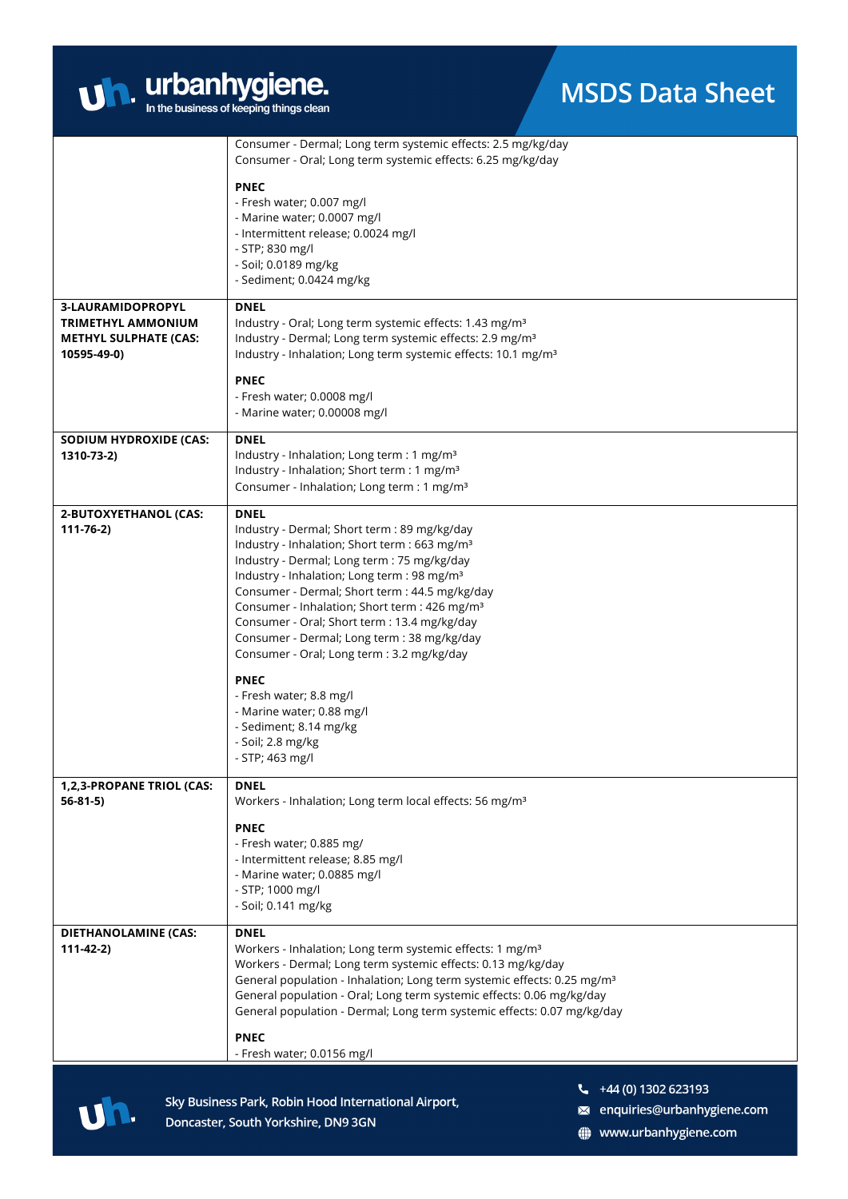| $\mathbf{U}$ | urbanhygiene.                           |  |
|--------------|-----------------------------------------|--|
|              | In the business of keeping things clean |  |

|                                                           | Consumer - Dermal; Long term systemic effects: 2.5 mg/kg/day                                                                                        |
|-----------------------------------------------------------|-----------------------------------------------------------------------------------------------------------------------------------------------------|
|                                                           | Consumer - Oral; Long term systemic effects: 6.25 mg/kg/day                                                                                         |
|                                                           | <b>PNEC</b>                                                                                                                                         |
|                                                           | - Fresh water; 0.007 mg/l<br>- Marine water; 0.0007 mg/l                                                                                            |
|                                                           | - Intermittent release; 0.0024 mg/l                                                                                                                 |
|                                                           | - STP; 830 mg/l                                                                                                                                     |
|                                                           | - Soil; 0.0189 mg/kg                                                                                                                                |
|                                                           | - Sediment; 0.0424 mg/kg                                                                                                                            |
| 3-LAURAMIDOPROPYL                                         | <b>DNEL</b>                                                                                                                                         |
| <b>TRIMETHYL AMMONIUM</b><br><b>METHYL SULPHATE (CAS:</b> | Industry - Oral; Long term systemic effects: 1.43 mg/m <sup>3</sup><br>Industry - Dermal; Long term systemic effects: 2.9 mg/m <sup>3</sup>         |
| 10595-49-0)                                               | Industry - Inhalation; Long term systemic effects: 10.1 mg/m <sup>3</sup>                                                                           |
|                                                           |                                                                                                                                                     |
|                                                           | <b>PNEC</b><br>- Fresh water; 0.0008 mg/l                                                                                                           |
|                                                           | - Marine water; 0.00008 mg/l                                                                                                                        |
| <b>SODIUM HYDROXIDE (CAS:</b>                             | <b>DNEL</b>                                                                                                                                         |
| 1310-73-2)                                                | Industry - Inhalation; Long term : 1 mg/m <sup>3</sup>                                                                                              |
|                                                           | Industry - Inhalation; Short term : 1 mg/m <sup>3</sup>                                                                                             |
|                                                           | Consumer - Inhalation; Long term : 1 mg/m <sup>3</sup>                                                                                              |
| 2-BUTOXYETHANOL (CAS:                                     | <b>DNEL</b>                                                                                                                                         |
| $111 - 76 - 2)$                                           | Industry - Dermal; Short term : 89 mg/kg/day<br>Industry - Inhalation; Short term : 663 mg/m <sup>3</sup>                                           |
|                                                           | Industry - Dermal; Long term : 75 mg/kg/day                                                                                                         |
|                                                           | Industry - Inhalation; Long term : 98 mg/m <sup>3</sup>                                                                                             |
|                                                           | Consumer - Dermal; Short term : 44.5 mg/kg/day                                                                                                      |
|                                                           | Consumer - Inhalation; Short term : 426 mg/m <sup>3</sup><br>Consumer - Oral; Short term : 13.4 mg/kg/day                                           |
|                                                           | Consumer - Dermal; Long term : 38 mg/kg/day                                                                                                         |
|                                                           | Consumer - Oral; Long term : 3.2 mg/kg/day                                                                                                          |
|                                                           | <b>PNEC</b>                                                                                                                                         |
|                                                           | - Fresh water; 8.8 mg/l                                                                                                                             |
|                                                           | - Marine water; 0.88 mg/l                                                                                                                           |
|                                                           | - Sediment; 8.14 mg/kg<br>- Soil; 2.8 mg/kg                                                                                                         |
|                                                           | - STP; 463 mg/l                                                                                                                                     |
| 1,2,3-PROPANE TRIOL (CAS:                                 | <b>DNEL</b>                                                                                                                                         |
| $56 - 81 - 5$                                             | Workers - Inhalation; Long term local effects: 56 mg/m <sup>3</sup>                                                                                 |
|                                                           | <b>PNEC</b>                                                                                                                                         |
|                                                           | - Fresh water; 0.885 mg/<br>- Intermittent release; 8.85 mg/l                                                                                       |
|                                                           | - Marine water; 0.0885 mg/l                                                                                                                         |
|                                                           | - STP; 1000 mg/l                                                                                                                                    |
|                                                           | - Soil; 0.141 mg/kg                                                                                                                                 |
| <b>DIETHANOLAMINE (CAS:</b>                               | <b>DNEL</b>                                                                                                                                         |
| $111-42-2)$                                               | Workers - Inhalation; Long term systemic effects: 1 mg/m <sup>3</sup>                                                                               |
|                                                           | Workers - Dermal; Long term systemic effects: 0.13 mg/kg/day<br>General population - Inhalation; Long term systemic effects: 0.25 mg/m <sup>3</sup> |
|                                                           | General population - Oral; Long term systemic effects: 0.06 mg/kg/day                                                                               |
|                                                           | General population - Dermal; Long term systemic effects: 0.07 mg/kg/day                                                                             |
|                                                           | <b>PNEC</b>                                                                                                                                         |
|                                                           | - Fresh water; 0.0156 mg/l                                                                                                                          |
|                                                           |                                                                                                                                                     |

uh.

Sky Business Park, Robin Hood International Airport, Doncaster, South Yorkshire, DN9 3GN

- $44(0)$  1302 623193
- a enquiries@urbanhygiene.com
- www.urbanhygiene.com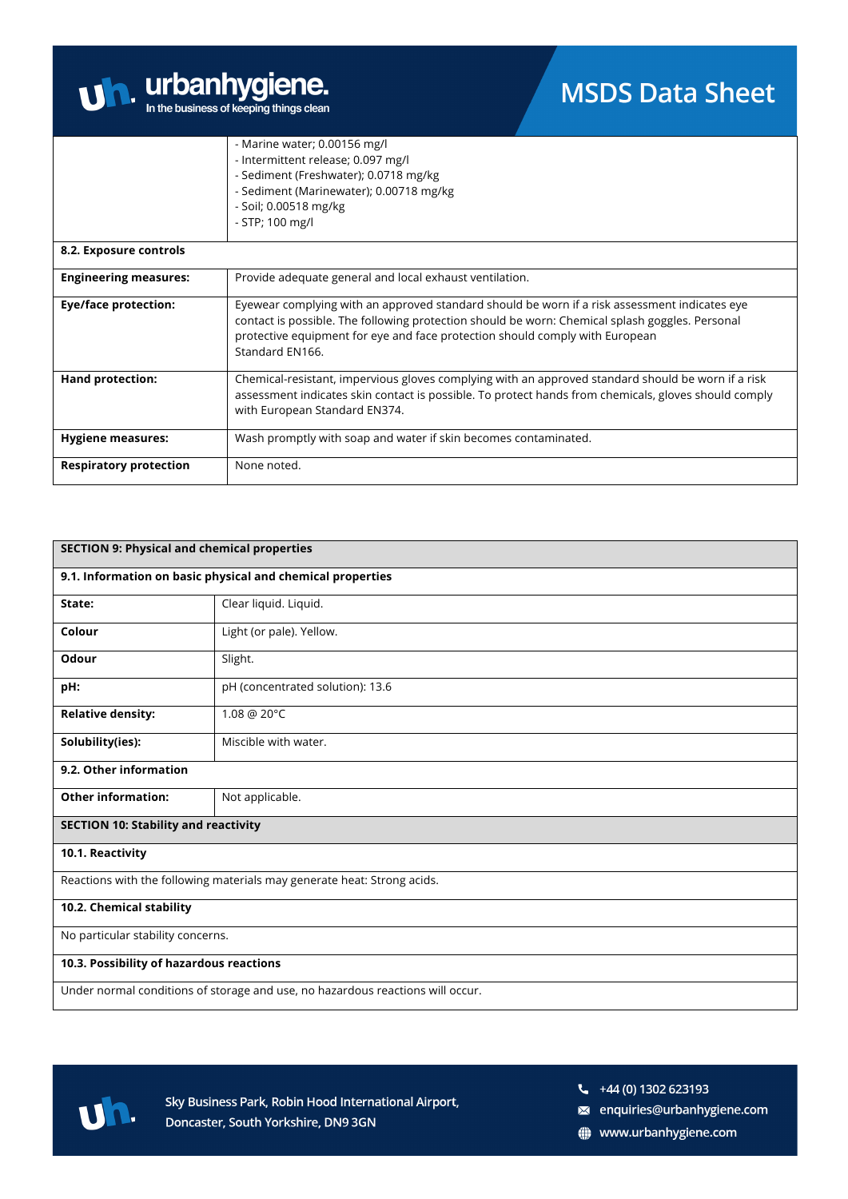

|                               | - Marine water; 0.00156 mg/l                                                                                                                                                                                                                                                                        |
|-------------------------------|-----------------------------------------------------------------------------------------------------------------------------------------------------------------------------------------------------------------------------------------------------------------------------------------------------|
|                               | - Intermittent release; 0.097 mg/l                                                                                                                                                                                                                                                                  |
|                               | - Sediment (Freshwater); 0.0718 mg/kg                                                                                                                                                                                                                                                               |
|                               | - Sediment (Marinewater); 0.00718 mg/kg                                                                                                                                                                                                                                                             |
|                               | - Soil; 0.00518 mg/kg                                                                                                                                                                                                                                                                               |
|                               | - STP; 100 mg/l                                                                                                                                                                                                                                                                                     |
| 8.2. Exposure controls        |                                                                                                                                                                                                                                                                                                     |
| <b>Engineering measures:</b>  | Provide adequate general and local exhaust ventilation.                                                                                                                                                                                                                                             |
| <b>Eye/face protection:</b>   | Eyewear complying with an approved standard should be worn if a risk assessment indicates eye<br>contact is possible. The following protection should be worn: Chemical splash goggles. Personal<br>protective equipment for eye and face protection should comply with European<br>Standard EN166. |
| <b>Hand protection:</b>       | Chemical-resistant, impervious gloves complying with an approved standard should be worn if a risk<br>assessment indicates skin contact is possible. To protect hands from chemicals, gloves should comply<br>with European Standard EN374.                                                         |
| <b>Hygiene measures:</b>      | Wash promptly with soap and water if skin becomes contaminated.                                                                                                                                                                                                                                     |
| <b>Respiratory protection</b> | None noted.                                                                                                                                                                                                                                                                                         |

| <b>SECTION 9: Physical and chemical properties</b>                             |                                                                         |  |
|--------------------------------------------------------------------------------|-------------------------------------------------------------------------|--|
|                                                                                | 9.1. Information on basic physical and chemical properties              |  |
| State:                                                                         | Clear liquid. Liquid.                                                   |  |
| Colour                                                                         | Light (or pale). Yellow.                                                |  |
| Odour                                                                          | Slight.                                                                 |  |
| pH:                                                                            | pH (concentrated solution): 13.6                                        |  |
| <b>Relative density:</b>                                                       | 1.08 @ 20°C                                                             |  |
| Solubility(ies):                                                               | Miscible with water.                                                    |  |
| 9.2. Other information                                                         |                                                                         |  |
| <b>Other information:</b>                                                      | Not applicable.                                                         |  |
| <b>SECTION 10: Stability and reactivity</b>                                    |                                                                         |  |
| 10.1. Reactivity                                                               |                                                                         |  |
|                                                                                | Reactions with the following materials may generate heat: Strong acids. |  |
| 10.2. Chemical stability                                                       |                                                                         |  |
| No particular stability concerns.                                              |                                                                         |  |
| 10.3. Possibility of hazardous reactions                                       |                                                                         |  |
| Under normal conditions of storage and use, no hazardous reactions will occur. |                                                                         |  |



Sky Business Park, Robin Hood International Airport, Doncaster, South Yorkshire, DN9 3GN

- a enquiries@urbanhygiene.com
- www.urbanhygiene.com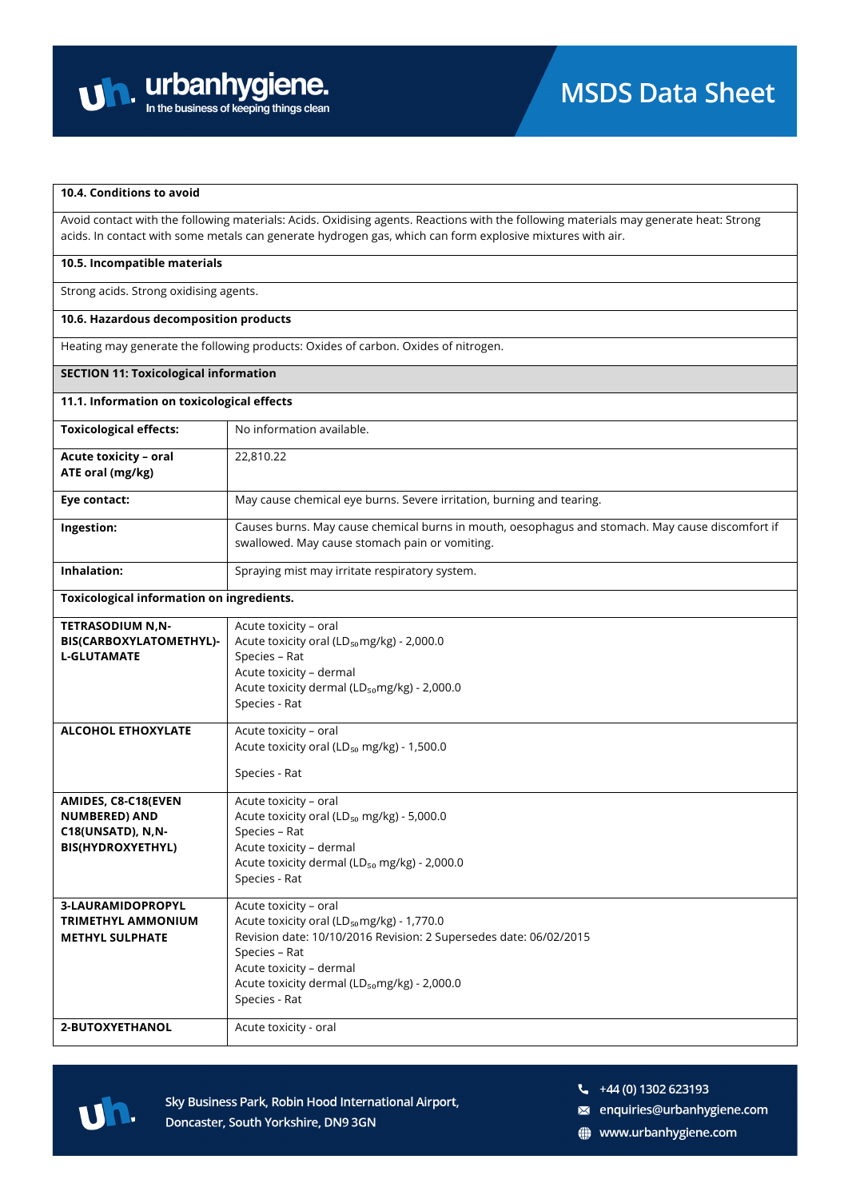

#### **10.4. Conditions to avoid**

Avoid contact with the following materials: Acids. Oxidising agents. Reactions with the following materials may generate heat: Strong acids. In contact with some metals can generate hydrogen gas, which can form explosive mixtures with air.

#### **10.5. Incompatible materials**

Strong acids. Strong oxidising agents.

#### **10.6. Hazardous decomposition products**

Heating may generate the following products: Oxides of carbon. Oxides of nitrogen.

#### **SECTION 11: Toxicological information**

### **11.1. Information on toxicological effects**

**Toxicological information on ingredients.**

| <b>Toxicological effects:</b>                    | No information available.                                                                                                                          |
|--------------------------------------------------|----------------------------------------------------------------------------------------------------------------------------------------------------|
| <b>Acute toxicity - oral</b><br>ATE oral (mg/kg) | 22,810.22                                                                                                                                          |
| Eye contact:                                     | May cause chemical eye burns. Severe irritation, burning and tearing.                                                                              |
| Ingestion:                                       | Causes burns. May cause chemical burns in mouth, oesophagus and stomach. May cause discomfort if<br>swallowed. May cause stomach pain or vomiting. |
| Inhalation:                                      | Spraying mist may irritate respiratory system.                                                                                                     |

| <b>TETRASODIUM N,N-</b>   | Acute toxicity - oral                                             |
|---------------------------|-------------------------------------------------------------------|
| BIS(CARBOXYLATOMETHYL)-   | Acute toxicity oral (LD <sub>50</sub> mg/kg) - 2,000.0            |
| <b>L-GLUTAMATE</b>        | Species - Rat                                                     |
|                           | Acute toxicity - dermal                                           |
|                           | Acute toxicity dermal (LD <sub>50</sub> mg/kg) - 2,000.0          |
|                           | Species - Rat                                                     |
|                           |                                                                   |
| <b>ALCOHOL ETHOXYLATE</b> | Acute toxicity - oral                                             |
|                           | Acute toxicity oral (LD <sub>50</sub> mg/kg) - 1,500.0            |
|                           |                                                                   |
|                           | Species - Rat                                                     |
| AMIDES, C8-C18(EVEN       | Acute toxicity - oral                                             |
| <b>NUMBERED) AND</b>      | Acute toxicity oral (LD <sub>50</sub> mg/kg) - 5,000.0            |
| C18(UNSATD), N,N-         | Species - Rat                                                     |
| <b>BIS(HYDROXYETHYL)</b>  | Acute toxicity - dermal                                           |
|                           | Acute toxicity dermal (LD <sub>50</sub> mg/kg) - 2,000.0          |
|                           | Species - Rat                                                     |
|                           |                                                                   |
| <b>3-LAURAMIDOPROPYL</b>  | Acute toxicity - oral                                             |
| <b>TRIMETHYL AMMONIUM</b> | Acute toxicity oral (LD <sub>50</sub> mg/kg) - 1,770.0            |
| <b>METHYL SULPHATE</b>    | Revision date: 10/10/2016 Revision: 2 Supersedes date: 06/02/2015 |
|                           | Species - Rat                                                     |
|                           | Acute toxicity - dermal                                           |
|                           | Acute toxicity dermal (LD <sub>50</sub> mg/kg) - 2,000.0          |
|                           | Species - Rat                                                     |
|                           |                                                                   |
| 2-BUTOXYETHANOL           | Acute toxicity - oral                                             |
|                           |                                                                   |



Sky Business Park, Robin Hood International Airport, Doncaster, South Yorkshire, DN9 3GN

 $\frac{1}{2}$  +44 (0) 1302 623193

a enquiries@urbanhygiene.com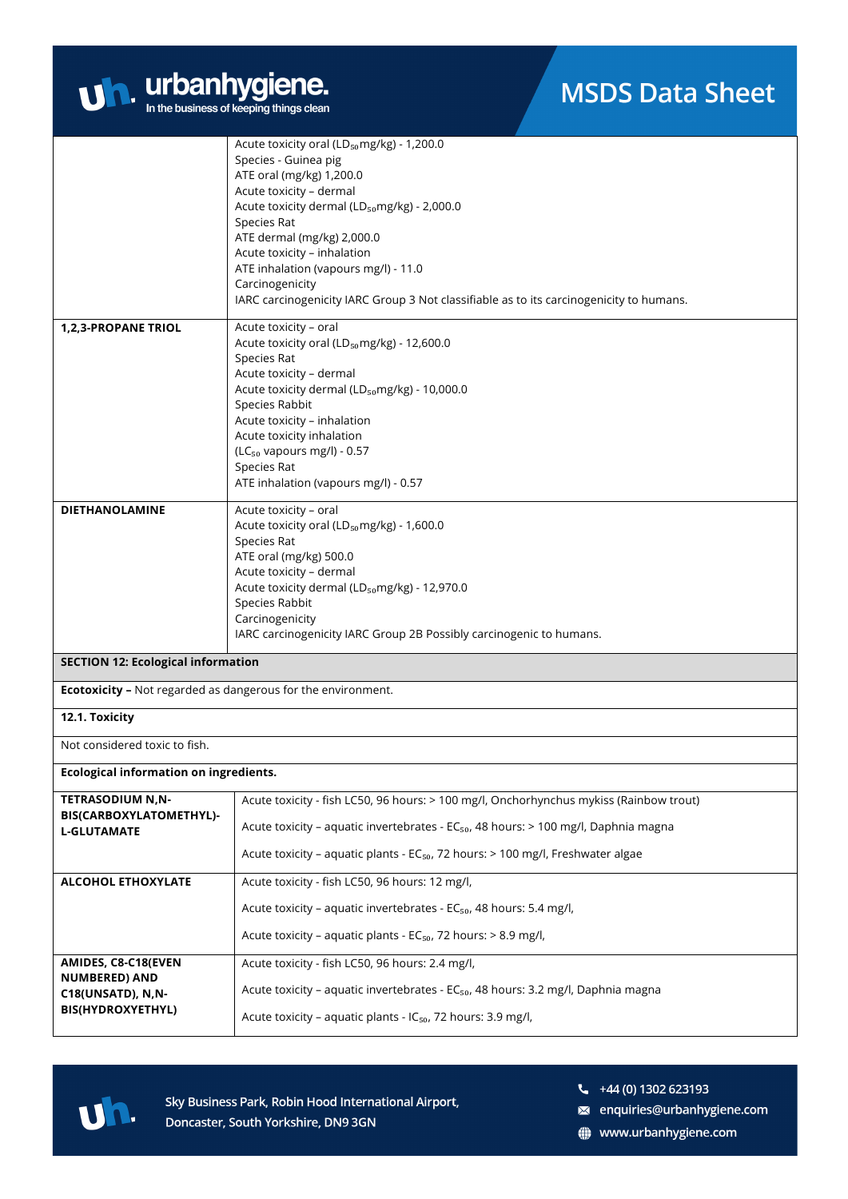

|                                                                     | Acute toxicity oral ( $LD_{50}$ mg/kg) - 1,200.0<br>Species - Guinea pig<br>ATE oral (mg/kg) 1,200.0<br>Acute toxicity - dermal<br>Acute toxicity dermal (LD <sub>50</sub> mg/kg) - 2,000.0<br>Species Rat<br>ATE dermal (mg/kg) 2,000.0<br>Acute toxicity - inhalation<br>ATE inhalation (vapours mg/l) - 11.0<br>Carcinogenicity<br>IARC carcinogenicity IARC Group 3 Not classifiable as to its carcinogenicity to humans. |  |
|---------------------------------------------------------------------|-------------------------------------------------------------------------------------------------------------------------------------------------------------------------------------------------------------------------------------------------------------------------------------------------------------------------------------------------------------------------------------------------------------------------------|--|
| 1,2,3-PROPANE TRIOL                                                 | Acute toxicity - oral<br>Acute toxicity oral (LD <sub>50</sub> mg/kg) - 12,600.0<br>Species Rat<br>Acute toxicity - dermal<br>Acute toxicity dermal (LD <sub>50</sub> mg/kg) - 10,000.0<br>Species Rabbit<br>Acute toxicity - inhalation<br>Acute toxicity inhalation<br>$(LC_{50}$ vapours mg/l) - 0.57<br>Species Rat<br>ATE inhalation (vapours mg/l) - 0.57                                                               |  |
| <b>DIETHANOLAMINE</b>                                               | Acute toxicity - oral<br>Acute toxicity oral (LD <sub>50</sub> mg/kg) - 1,600.0<br>Species Rat<br>ATE oral (mg/kg) 500.0<br>Acute toxicity - dermal<br>Acute toxicity dermal (LD <sub>50</sub> mg/kg) - 12,970.0<br>Species Rabbit<br>Carcinogenicity<br>IARC carcinogenicity IARC Group 2B Possibly carcinogenic to humans.                                                                                                  |  |
| <b>SECTION 12: Ecological information</b>                           |                                                                                                                                                                                                                                                                                                                                                                                                                               |  |
| <b>Ecotoxicity -</b> Not regarded as dangerous for the environment. |                                                                                                                                                                                                                                                                                                                                                                                                                               |  |
| 12.1. Toxicity                                                      |                                                                                                                                                                                                                                                                                                                                                                                                                               |  |
| Not considered toxic to fish.                                       |                                                                                                                                                                                                                                                                                                                                                                                                                               |  |
| Ecological information on ingredients.                              |                                                                                                                                                                                                                                                                                                                                                                                                                               |  |
| <b>TETRASODIUM N.N-</b><br>BIS(CARBOXYLATOMETHYL)-                  | Acute toxicity - fish LC50, 96 hours: > 100 mg/l, Onchorhynchus mykiss (Rainbow trout)                                                                                                                                                                                                                                                                                                                                        |  |
| <b>L-GLUTAMATE</b>                                                  | Acute toxicity - aquatic invertebrates - EC <sub>50</sub> , 48 hours: > 100 mg/l, Daphnia magna                                                                                                                                                                                                                                                                                                                               |  |
|                                                                     | Acute toxicity - aquatic plants - EC <sub>50</sub> , 72 hours: > 100 mg/l, Freshwater algae                                                                                                                                                                                                                                                                                                                                   |  |
| <b>ALCOHOL ETHOXYLATE</b>                                           | Acute toxicity - fish LC50, 96 hours: 12 mg/l,                                                                                                                                                                                                                                                                                                                                                                                |  |
|                                                                     | Acute toxicity - aquatic invertebrates - EC <sub>50</sub> , 48 hours: 5.4 mg/l,                                                                                                                                                                                                                                                                                                                                               |  |
|                                                                     | Acute toxicity - aquatic plants - $EC_{50}$ , 72 hours: > 8.9 mg/l,                                                                                                                                                                                                                                                                                                                                                           |  |
| AMIDES, C8-C18(EVEN<br><b>NUMBERED) AND</b>                         | Acute toxicity - fish LC50, 96 hours: 2.4 mg/l,                                                                                                                                                                                                                                                                                                                                                                               |  |
| C18(UNSATD), N,N-                                                   | Acute toxicity - aquatic invertebrates - EC <sub>50</sub> , 48 hours: 3.2 mg/l, Daphnia magna                                                                                                                                                                                                                                                                                                                                 |  |
| <b>BIS(HYDROXYETHYL)</b>                                            | Acute toxicity - aquatic plants - IC <sub>50</sub> , 72 hours: 3.9 mg/l,                                                                                                                                                                                                                                                                                                                                                      |  |



 $\frac{1}{2}$  +44 (0) 1302 623193

a enquiries@urbanhygiene.com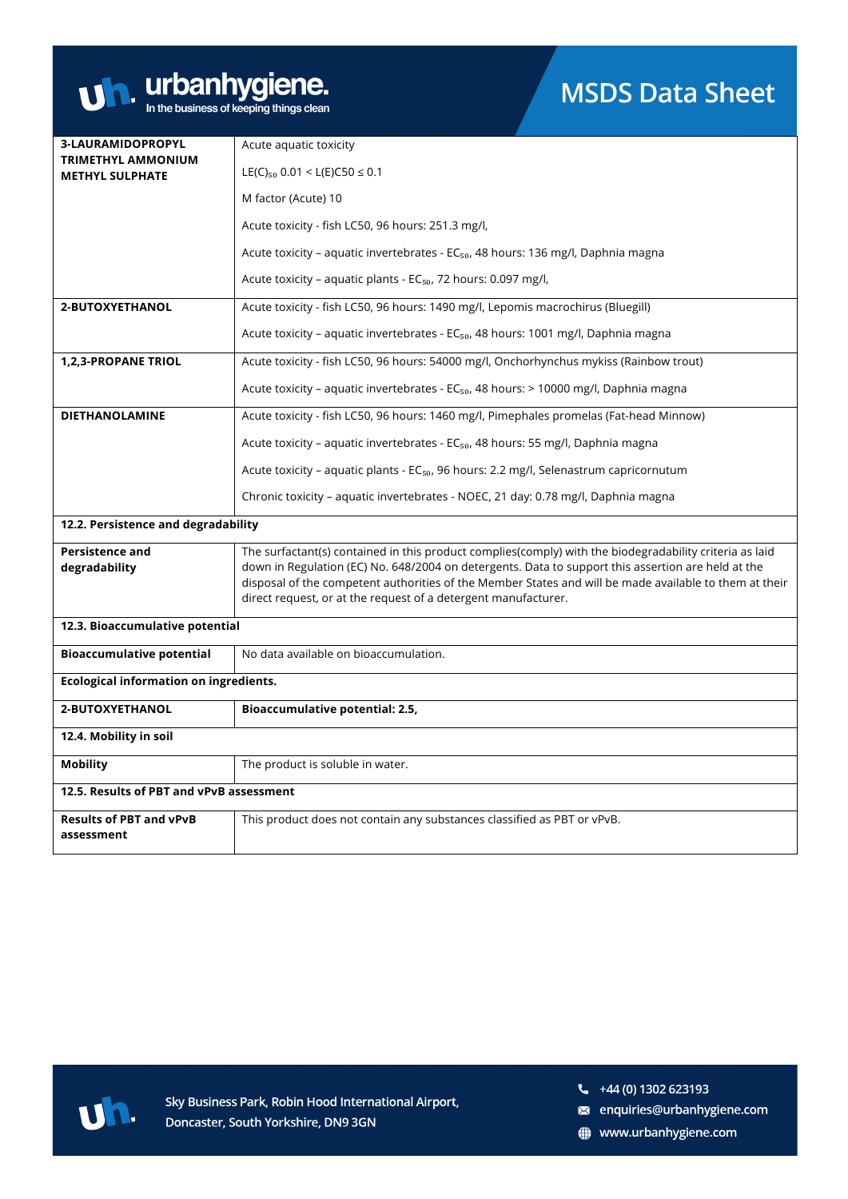

| 3-LAURAMIDOPROPYL                                   | Acute aquatic toxicity                                                                                                                                                                                       |  |
|-----------------------------------------------------|--------------------------------------------------------------------------------------------------------------------------------------------------------------------------------------------------------------|--|
| <b>TRIMETHYL AMMONIUM</b><br><b>METHYL SULPHATE</b> | LE(C) <sub>50</sub> 0.01 < L(E)C50 $\leq$ 0.1                                                                                                                                                                |  |
|                                                     | M factor (Acute) 10                                                                                                                                                                                          |  |
|                                                     | Acute toxicity - fish LC50, 96 hours: 251.3 mg/l,                                                                                                                                                            |  |
|                                                     | Acute toxicity - aquatic invertebrates - EC <sub>50</sub> , 48 hours: 136 mg/l, Daphnia magna                                                                                                                |  |
|                                                     | Acute toxicity - aquatic plants - EC <sub>50</sub> , 72 hours: 0.097 mg/l,                                                                                                                                   |  |
| 2-BUTOXYETHANOL                                     | Acute toxicity - fish LC50, 96 hours: 1490 mg/l, Lepomis macrochirus (Bluegill)                                                                                                                              |  |
|                                                     | Acute toxicity – aquatic invertebrates - EC <sub>50</sub> , 48 hours: 1001 mg/l, Daphnia magna                                                                                                               |  |
| <b>1,2,3-PROPANE TRIOL</b>                          | Acute toxicity - fish LC50, 96 hours: 54000 mg/l, Onchorhynchus mykiss (Rainbow trout)                                                                                                                       |  |
|                                                     | Acute toxicity - aquatic invertebrates - EC <sub>50</sub> , 48 hours: > 10000 mg/l, Daphnia magna                                                                                                            |  |
| <b>DIETHANOLAMINE</b>                               | Acute toxicity - fish LC50, 96 hours: 1460 mg/l, Pimephales promelas (Fat-head Minnow)                                                                                                                       |  |
|                                                     | Acute toxicity - aquatic invertebrates - EC <sub>50</sub> , 48 hours: 55 mg/l, Daphnia magna                                                                                                                 |  |
|                                                     | Acute toxicity - aquatic plants - EC <sub>50</sub> , 96 hours: 2.2 mg/l, Selenastrum capricornutum                                                                                                           |  |
|                                                     | Chronic toxicity – aquatic invertebrates - NOEC, 21 day: 0.78 mg/l, Daphnia magna                                                                                                                            |  |
| 12.2. Persistence and degradability                 |                                                                                                                                                                                                              |  |
| <b>Persistence and</b>                              | The surfactant(s) contained in this product complies(comply) with the biodegradability criteria as laid                                                                                                      |  |
| degradability                                       | down in Regulation (EC) No. 648/2004 on detergents. Data to support this assertion are held at the<br>disposal of the competent authorities of the Member States and will be made available to them at their |  |
|                                                     | direct request, or at the request of a detergent manufacturer.                                                                                                                                               |  |
| 12.3. Bioaccumulative potential                     |                                                                                                                                                                                                              |  |
| <b>Bioaccumulative potential</b>                    | No data available on bioaccumulation.                                                                                                                                                                        |  |
| Ecological information on ingredients.              |                                                                                                                                                                                                              |  |
| 2-BUTOXYETHANOL                                     | Bioaccumulative potential: 2.5,                                                                                                                                                                              |  |
| 12.4. Mobility in soil                              |                                                                                                                                                                                                              |  |
| <b>Mobility</b>                                     | The product is soluble in water.                                                                                                                                                                             |  |
| 12.5. Results of PBT and vPvB assessment            |                                                                                                                                                                                                              |  |
| <b>Results of PBT and vPvB</b><br>assessment        | This product does not contain any substances classified as PBT or vPvB.                                                                                                                                      |  |



Sky Business Park, Robin Hood International Airport, Doncaster, South Yorkshire, DN9 3GN

- a enquiries@urbanhygiene.com
- www.urbanhygiene.com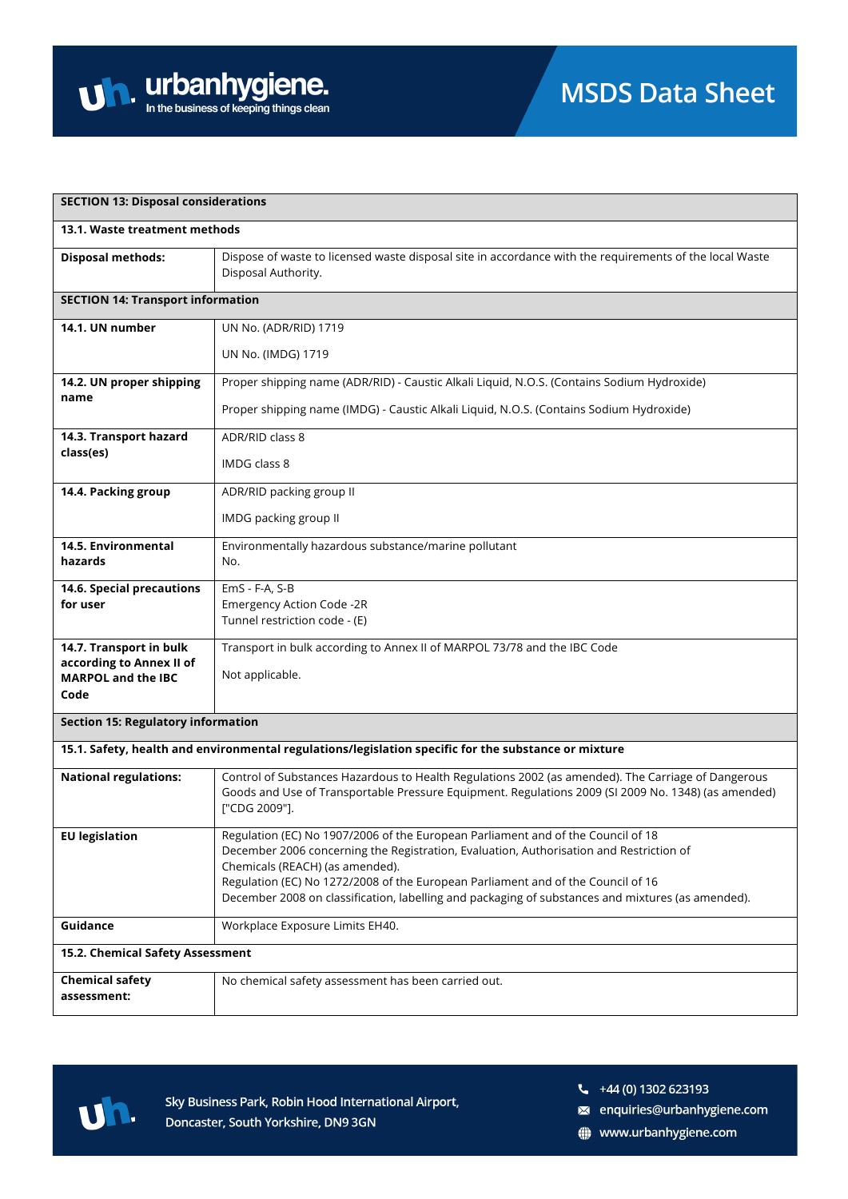| <b>SECTION 13: Disposal considerations</b>                                                           |                                                                                                                                |  |
|------------------------------------------------------------------------------------------------------|--------------------------------------------------------------------------------------------------------------------------------|--|
| 13.1. Waste treatment methods                                                                        |                                                                                                                                |  |
| <b>Disposal methods:</b>                                                                             | Dispose of waste to licensed waste disposal site in accordance with the requirements of the local Waste<br>Disposal Authority. |  |
| <b>SECTION 14: Transport information</b>                                                             |                                                                                                                                |  |
| 14.1. UN number                                                                                      | UN No. (ADR/RID) 1719                                                                                                          |  |
|                                                                                                      | UN No. (IMDG) 1719                                                                                                             |  |
| 14.2. UN proper shipping                                                                             | Proper shipping name (ADR/RID) - Caustic Alkali Liquid, N.O.S. (Contains Sodium Hydroxide)                                     |  |
| name                                                                                                 | Proper shipping name (IMDG) - Caustic Alkali Liquid, N.O.S. (Contains Sodium Hydroxide)                                        |  |
| 14.3. Transport hazard<br>class(es)                                                                  | ADR/RID class 8                                                                                                                |  |
|                                                                                                      | IMDG class 8                                                                                                                   |  |
| 14.4. Packing group                                                                                  | ADR/RID packing group II                                                                                                       |  |
|                                                                                                      | IMDG packing group II                                                                                                          |  |
| 14.5. Environmental                                                                                  | Environmentally hazardous substance/marine pollutant                                                                           |  |
| hazards                                                                                              | No.                                                                                                                            |  |
| 14.6. Special precautions<br>for user                                                                | EmS - F-A, S-B<br><b>Emergency Action Code -2R</b>                                                                             |  |
|                                                                                                      | Tunnel restriction code - (E)                                                                                                  |  |
| 14.7. Transport in bulk                                                                              | Transport in bulk according to Annex II of MARPOL 73/78 and the IBC Code                                                       |  |
| according to Annex II of<br><b>MARPOL and the IBC</b>                                                | Not applicable.                                                                                                                |  |
| Code                                                                                                 |                                                                                                                                |  |
| <b>Section 15: Regulatory information</b>                                                            |                                                                                                                                |  |
| 15.1. Safety, health and environmental regulations/legislation specific for the substance or mixture |                                                                                                                                |  |
| <b>National regulations:</b>                                                                         | Control of Substances Hazardous to Health Regulations 2002 (as amended). The Carriage of Dangerous                             |  |
|                                                                                                      | Goods and Use of Transportable Pressure Equipment. Regulations 2009 (SI 2009 No. 1348) (as amended)<br>["CDG 2009"].           |  |
| <b>EU legislation</b>                                                                                | Regulation (EC) No 1907/2006 of the European Parliament and of the Council of 18                                               |  |
|                                                                                                      | December 2006 concerning the Registration, Evaluation, Authorisation and Restriction of<br>Chemicals (REACH) (as amended).     |  |
|                                                                                                      | Regulation (EC) No 1272/2008 of the European Parliament and of the Council of 16                                               |  |
|                                                                                                      | December 2008 on classification, labelling and packaging of substances and mixtures (as amended).                              |  |
| Guidance                                                                                             | Workplace Exposure Limits EH40.                                                                                                |  |
| 15.2. Chemical Safety Assessment                                                                     |                                                                                                                                |  |
| <b>Chemical safety</b>                                                                               | No chemical safety assessment has been carried out.                                                                            |  |
| assessment:                                                                                          |                                                                                                                                |  |



 $\frac{1}{2}$  +44 (0) 1302 623193

a enquiries@urbanhygiene.com